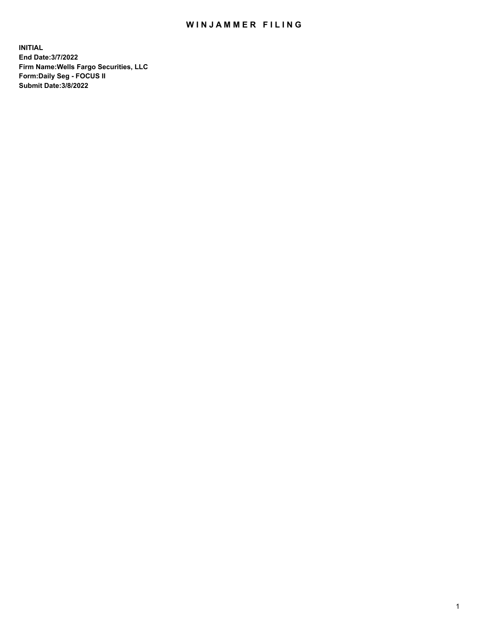## WIN JAMMER FILING

**INITIAL End Date:3/7/2022 Firm Name:Wells Fargo Securities, LLC Form:Daily Seg - FOCUS II Submit Date:3/8/2022**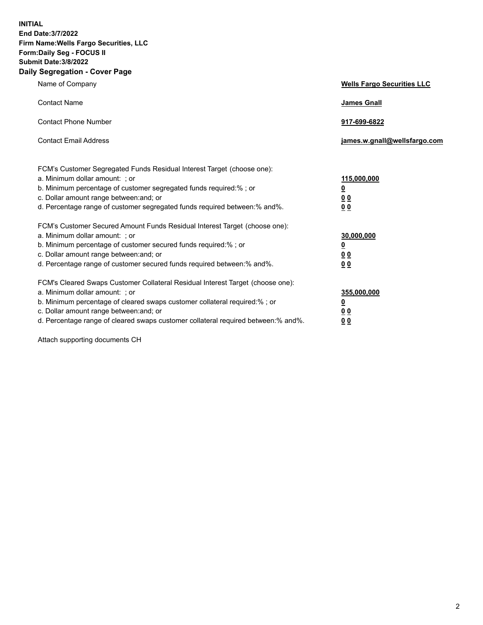**INITIAL End Date:3/7/2022 Firm Name:Wells Fargo Securities, LLC Form:Daily Seg - FOCUS II Submit Date:3/8/2022 Daily Segregation - Cover Page**

| Name of Company                                                                                                       | <b>Wells Fargo Securities LLC</b> |
|-----------------------------------------------------------------------------------------------------------------------|-----------------------------------|
| <b>Contact Name</b>                                                                                                   | <b>James Gnall</b>                |
|                                                                                                                       |                                   |
| <b>Contact Phone Number</b>                                                                                           | 917-699-6822                      |
|                                                                                                                       |                                   |
| <b>Contact Email Address</b>                                                                                          | james.w.gnall@wellsfargo.com      |
|                                                                                                                       |                                   |
| FCM's Customer Segregated Funds Residual Interest Target (choose one):                                                |                                   |
| a. Minimum dollar amount: ; or                                                                                        | 115,000,000                       |
| b. Minimum percentage of customer segregated funds required:% ; or                                                    | <u>0</u>                          |
| c. Dollar amount range between: and; or                                                                               | 00                                |
| d. Percentage range of customer segregated funds required between:% and%.                                             | 00                                |
| FCM's Customer Secured Amount Funds Residual Interest Target (choose one):                                            |                                   |
| a. Minimum dollar amount: ; or                                                                                        | 30,000,000                        |
| b. Minimum percentage of customer secured funds required:%; or                                                        | <u>0</u>                          |
| c. Dollar amount range between: and; or                                                                               | 00                                |
| d. Percentage range of customer secured funds required between: % and %.                                              | 0 <sub>0</sub>                    |
|                                                                                                                       |                                   |
| FCM's Cleared Swaps Customer Collateral Residual Interest Target (choose one):                                        |                                   |
| a. Minimum dollar amount: ; or                                                                                        | 355,000,000                       |
| b. Minimum percentage of cleared swaps customer collateral required:% ; or<br>c. Dollar amount range between: and; or | <u>0</u>                          |
| d. Percentage range of cleared swaps customer collateral required between:% and%.                                     | <u>00</u><br>00                   |
|                                                                                                                       |                                   |

Attach supporting documents CH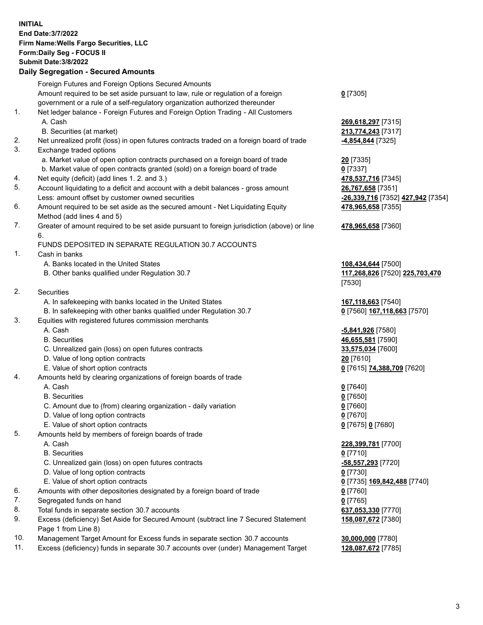**INITIAL End Date:3/7/2022 Firm Name:Wells Fargo Securities, LLC Form:Daily Seg - FOCUS II Submit Date:3/8/2022 Daily Segregation - Secured Amounts**

Foreign Futures and Foreign Options Secured Amounts Amount required to be set aside pursuant to law, rule or regulation of a foreign government or a rule of a self-regulatory organization authorized thereunder **0** [7305] 1. Net ledger balance - Foreign Futures and Foreign Option Trading - All Customers A. Cash **269,618,297** [7315] B. Securities (at market) **213,774,243** [7317] 2. Net unrealized profit (loss) in open futures contracts traded on a foreign board of trade **-4,854,844** [7325] 3. Exchange traded options a. Market value of open option contracts purchased on a foreign board of trade **20** [7335] b. Market value of open contracts granted (sold) on a foreign board of trade **0** [7337] 4. Net equity (deficit) (add lines 1. 2. and 3.) **478,537,716** [7345] 5. Account liquidating to a deficit and account with a debit balances - gross amount **26,767,658** [7351] Less: amount offset by customer owned securities **-26,339,716** [7352] **427,942** [7354] 6. Amount required to be set aside as the secured amount - Net Liquidating Equity Method (add lines 4 and 5) **478,965,658** [7355] 7. Greater of amount required to be set aside pursuant to foreign jurisdiction (above) or line 6. **478,965,658** [7360] FUNDS DEPOSITED IN SEPARATE REGULATION 30.7 ACCOUNTS 1. Cash in banks A. Banks located in the United States **108,434,644** [7500] B. Other banks qualified under Regulation 30.7 **117,268,826** [7520] **225,703,470** [7530] 2. Securities A. In safekeeping with banks located in the United States **167,118,663** [7540] B. In safekeeping with other banks qualified under Regulation 30.7 **0** [7560] **167,118,663** [7570] 3. Equities with registered futures commission merchants A. Cash **-5,841,926** [7580] B. Securities **46,655,581** [7590] C. Unrealized gain (loss) on open futures contracts **33,575,034** [7600] D. Value of long option contracts **20** [7610] E. Value of short option contracts **0** [7615] **74,388,709** [7620] 4. Amounts held by clearing organizations of foreign boards of trade A. Cash **0** [7640] B. Securities **0** [7650] C. Amount due to (from) clearing organization - daily variation **0** [7660] D. Value of long option contracts **0** [7670] E. Value of short option contracts **0** [7675] **0** [7680] 5. Amounts held by members of foreign boards of trade A. Cash **228,399,781** [7700] B. Securities **0** [7710] C. Unrealized gain (loss) on open futures contracts **-58,557,293** [7720] D. Value of long option contracts **0** [7730] E. Value of short option contracts **0** [7735] **169,842,488** [7740] 6. Amounts with other depositories designated by a foreign board of trade **0** [7760] 7. Segregated funds on hand **0** [7765] 8. Total funds in separate section 30.7 accounts **637,053,330** [7770] 9. Excess (deficiency) Set Aside for Secured Amount (subtract line 7 Secured Statement Page 1 from Line 8) **158,087,672** [7380]

- 10. Management Target Amount for Excess funds in separate section 30.7 accounts **30,000,000** [7780]
- 11. Excess (deficiency) funds in separate 30.7 accounts over (under) Management Target **128,087,672** [7785]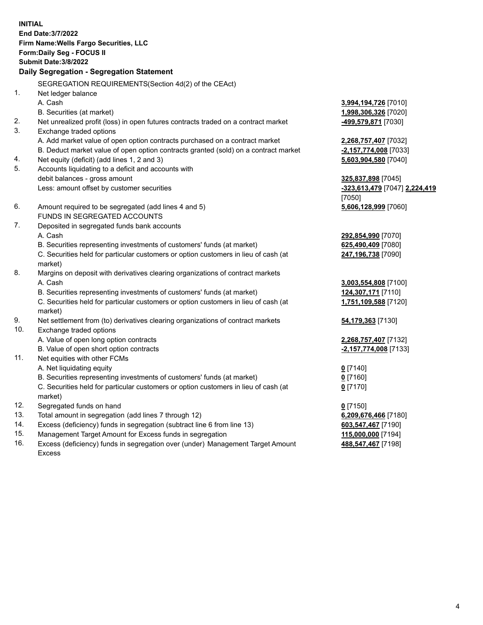**INITIAL End Date:3/7/2022 Firm Name:Wells Fargo Securities, LLC Form:Daily Seg - FOCUS II Submit Date:3/8/2022 Daily Segregation - Segregation Statement** SEGREGATION REQUIREMENTS(Section 4d(2) of the CEAct) 1. Net ledger balance A. Cash **3,994,194,726** [7010] B. Securities (at market) **1,998,306,326** [7020] 2. Net unrealized profit (loss) in open futures contracts traded on a contract market **-499,579,871** [7030] 3. Exchange traded options A. Add market value of open option contracts purchased on a contract market **2,268,757,407** [7032] B. Deduct market value of open option contracts granted (sold) on a contract market **-2,157,774,008** [7033] 4. Net equity (deficit) (add lines 1, 2 and 3) **5,603,904,580** [7040] 5. Accounts liquidating to a deficit and accounts with debit balances - gross amount **325,837,898** [7045] Less: amount offset by customer securities **-323,613,479** [7047] **2,224,419** [7050] 6. Amount required to be segregated (add lines 4 and 5) **5,606,128,999** [7060] FUNDS IN SEGREGATED ACCOUNTS 7. Deposited in segregated funds bank accounts A. Cash **292,854,990** [7070] B. Securities representing investments of customers' funds (at market) **625,490,409** [7080] C. Securities held for particular customers or option customers in lieu of cash (at market) **247,196,738** [7090] 8. Margins on deposit with derivatives clearing organizations of contract markets A. Cash **3,003,554,808** [7100] B. Securities representing investments of customers' funds (at market) **124,307,171** [7110] C. Securities held for particular customers or option customers in lieu of cash (at market) **1,751,109,588** [7120] 9. Net settlement from (to) derivatives clearing organizations of contract markets **54,179,363** [7130] 10. Exchange traded options A. Value of open long option contracts **2,268,757,407** [7132] B. Value of open short option contracts **-2,157,774,008** [7133] 11. Net equities with other FCMs A. Net liquidating equity **0** [7140] B. Securities representing investments of customers' funds (at market) **0** [7160] C. Securities held for particular customers or option customers in lieu of cash (at market) **0** [7170] 12. Segregated funds on hand **0** [7150] 13. Total amount in segregation (add lines 7 through 12) **6,209,676,466** [7180] 14. Excess (deficiency) funds in segregation (subtract line 6 from line 13) **603,547,467** [7190] 15. Management Target Amount for Excess funds in segregation **115,000,000** [7194] **488,547,467** [7198]

16. Excess (deficiency) funds in segregation over (under) Management Target Amount Excess